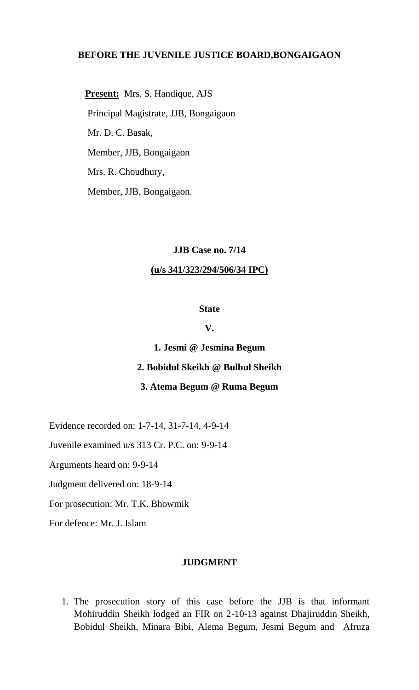## **BEFORE THE JUVENILE JUSTICE BOARD,BONGAIGAON**

 **Present:** Mrs. S. Handique, AJS Principal Magistrate, JJB, Bongaigaon Mr. D. C. Basak, Member, JJB, Bongaigaon Mrs. R. Choudhury, Member, JJB, Bongaigaon.

### **JJB Case no. 7/14**

#### **(u/s 341/323/294/506/34 IPC)**

### **State**

### **V.**

## **1. Jesmi @ Jesmina Begum**

# **2. Bobidul Skeikh @ Bulbul Sheikh**

### **3. Atema Begum @ Ruma Begum**

Evidence recorded on: 1-7-14, 31-7-14, 4-9-14

Juvenile examined u/s 313 Cr. P.C. on: 9-9-14

Arguments heard on: 9-9-14

Judgment delivered on: 18-9-14

For prosecution: Mr. T.K. Bhowmik

For defence: Mr. J. Islam

### **JUDGMENT**

1. The prosecution story of this case before the JJB is that informant Mohiruddin Sheikh lodged an FIR on 2-10-13 against Dhajiruddin Sheikh, Bobidul Sheikh, Minara Bibi, Alema Begum, Jesmi Begum and Afruza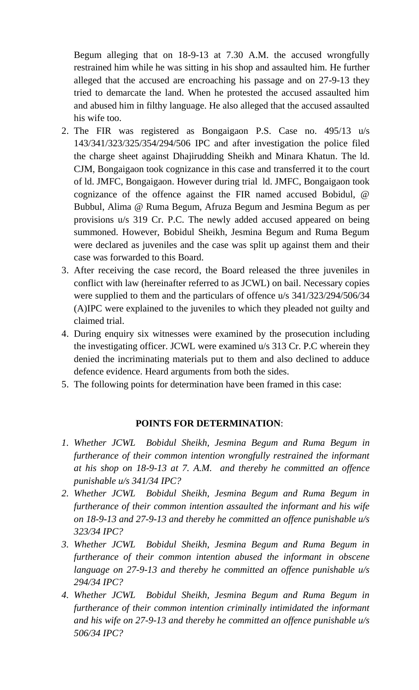Begum alleging that on 18-9-13 at 7.30 A.M. the accused wrongfully restrained him while he was sitting in his shop and assaulted him. He further alleged that the accused are encroaching his passage and on 27-9-13 they tried to demarcate the land. When he protested the accused assaulted him and abused him in filthy language. He also alleged that the accused assaulted his wife too.

- 2. The FIR was registered as Bongaigaon P.S. Case no. 495/13 u/s 143/341/323/325/354/294/506 IPC and after investigation the police filed the charge sheet against Dhajirudding Sheikh and Minara Khatun. The ld. CJM, Bongaigaon took cognizance in this case and transferred it to the court of ld. JMFC, Bongaigaon. However during trial ld. JMFC, Bongaigaon took cognizance of the offence against the FIR named accused Bobidul, @ Bubbul, Alima @ Ruma Begum, Afruza Begum and Jesmina Begum as per provisions u/s 319 Cr. P.C. The newly added accused appeared on being summoned. However, Bobidul Sheikh, Jesmina Begum and Ruma Begum were declared as juveniles and the case was split up against them and their case was forwarded to this Board.
- 3. After receiving the case record, the Board released the three juveniles in conflict with law (hereinafter referred to as JCWL) on bail. Necessary copies were supplied to them and the particulars of offence u/s 341/323/294/506/34 (A)IPC were explained to the juveniles to which they pleaded not guilty and claimed trial.
- 4. During enquiry six witnesses were examined by the prosecution including the investigating officer. JCWL were examined u/s 313 Cr. P.C wherein they denied the incriminating materials put to them and also declined to adduce defence evidence. Heard arguments from both the sides.
- 5. The following points for determination have been framed in this case:

## **POINTS FOR DETERMINATION**:

- *1. Whether JCWL Bobidul Sheikh, Jesmina Begum and Ruma Begum in furtherance of their common intention wrongfully restrained the informant at his shop on 18-9-13 at 7. A.M. and thereby he committed an offence punishable u/s 341/34 IPC?*
- *2. Whether JCWL Bobidul Sheikh, Jesmina Begum and Ruma Begum in furtherance of their common intention assaulted the informant and his wife on 18-9-13 and 27-9-13 and thereby he committed an offence punishable u/s 323/34 IPC?*
- *3. Whether JCWL Bobidul Sheikh, Jesmina Begum and Ruma Begum in furtherance of their common intention abused the informant in obscene language on 27-9-13 and thereby he committed an offence punishable u/s 294/34 IPC?*
- *4. Whether JCWL Bobidul Sheikh, Jesmina Begum and Ruma Begum in furtherance of their common intention criminally intimidated the informant and his wife on 27-9-13 and thereby he committed an offence punishable u/s 506/34 IPC?*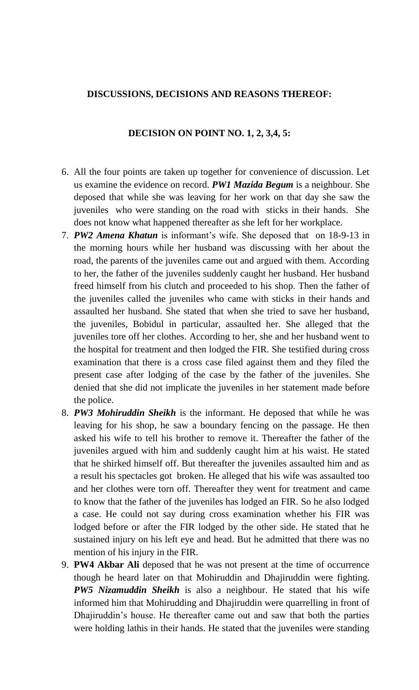## **DISCUSSIONS, DECISIONS AND REASONS THEREOF:**

## **DECISION ON POINT NO. 1, 2, 3,4, 5:**

- 6. All the four points are taken up together for convenience of discussion. Let us examine the evidence on record. *PW1 Mazida Begum* is a neighbour. She deposed that while she was leaving for her work on that day she saw the juveniles who were standing on the road with sticks in their hands. She does not know what happened thereafter as she left for her workplace.
- 7. *PW2 Amena Khatun* is informant's wife. She deposed that on 18-9-13 in the morning hours while her husband was discussing with her about the road, the parents of the juveniles came out and argued with them. According to her, the father of the juveniles suddenly caught her husband. Her husband freed himself from his clutch and proceeded to his shop. Then the father of the juveniles called the juveniles who came with sticks in their hands and assaulted her husband. She stated that when she tried to save her husband, the juveniles, Bobidul in particular, assaulted her. She alleged that the juveniles tore off her clothes. According to her, she and her husband went to the hospital for treatment and then lodged the FIR. She testified during cross examination that there is a cross case filed against them and they filed the present case after lodging of the case by the father of the juveniles. She denied that she did not implicate the juveniles in her statement made before the police.
- 8. *PW3 Mohiruddin Sheikh* is the informant. He deposed that while he was leaving for his shop, he saw a boundary fencing on the passage. He then asked his wife to tell his brother to remove it. Thereafter the father of the juveniles argued with him and suddenly caught him at his waist. He stated that he shirked himself off. But thereafter the juveniles assaulted him and as a result his spectacles got broken. He alleged that his wife was assaulted too and her clothes were torn off. Thereafter they went for treatment and came to know that the father of the juveniles has lodged an FIR. So he also lodged a case. He could not say during cross examination whether his FIR was lodged before or after the FIR lodged by the other side. He stated that he sustained injury on his left eye and head. But he admitted that there was no mention of his injury in the FIR.
- 9. **PW4 Akbar Ali** deposed that he was not present at the time of occurrence though he heard later on that Mohiruddin and Dhajiruddin were fighting. *PW5 Nizamuddin Sheikh* is also a neighbour. He stated that his wife informed him that Mohirudding and Dhajiruddin were quarrelling in front of Dhajiruddin's house. He thereafter came out and saw that both the parties were holding lathis in their hands. He stated that the juveniles were standing